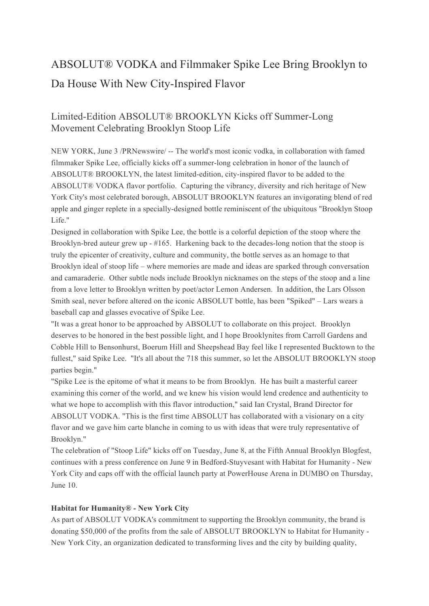# ABSOLUT® VODKA and Filmmaker Spike Lee Bring Brooklyn to Da House With New City-Inspired Flavor

# Limited-Edition ABSOLUT® BROOKLYN Kicks off Summer-Long Movement Celebrating Brooklyn Stoop Life

NEW YORK, June 3 /PRNewswire/ -- The world's most iconic vodka, in collaboration with famed filmmaker Spike Lee, officially kicks off a summer-long celebration in honor of the launch of ABSOLUT® BROOKLYN, the latest limited-edition, city-inspired flavor to be added to the ABSOLUT® VODKA flavor portfolio. Capturing the vibrancy, diversity and rich heritage of New York City's most celebrated borough, ABSOLUT BROOKLYN features an invigorating blend of red apple and ginger replete in a specially-designed bottle reminiscent of the ubiquitous "Brooklyn Stoop Life."

Designed in collaboration with Spike Lee, the bottle is a colorful depiction of the stoop where the Brooklyn-bred auteur grew up - #165. Harkening back to the decades-long notion that the stoop is truly the epicenter of creativity, culture and community, the bottle serves as an homage to that Brooklyn ideal of stoop life – where memories are made and ideas are sparked through conversation and camaraderie. Other subtle nods include Brooklyn nicknames on the steps of the stoop and a line from a love letter to Brooklyn written by poet/actor Lemon Andersen. In addition, the Lars Olsson Smith seal, never before altered on the iconic ABSOLUT bottle, has been "Spiked" – Lars wears a baseball cap and glasses evocative of Spike Lee.

"It was a great honor to be approached by ABSOLUT to collaborate on this project. Brooklyn deserves to be honored in the best possible light, and I hope Brooklynites from Carroll Gardens and Cobble Hill to Bensonhurst, Boerum Hill and Sheepshead Bay feel like I represented Bucktown to the fullest," said Spike Lee. "It's all about the 718 this summer, so let the ABSOLUT BROOKLYN stoop parties begin."

"Spike Lee is the epitome of what it means to be from Brooklyn. He has built a masterful career examining this corner of the world, and we knew his vision would lend credence and authenticity to what we hope to accomplish with this flavor introduction," said Ian Crystal, Brand Director for ABSOLUT VODKA. "This is the first time ABSOLUT has collaborated with a visionary on a city flavor and we gave him carte blanche in coming to us with ideas that were truly representative of Brooklyn."

The celebration of "Stoop Life" kicks off on Tuesday, June 8, at the Fifth Annual Brooklyn Blogfest, continues with a press conference on June 9 in Bedford-Stuyvesant with Habitat for Humanity - New York City and caps off with the official launch party at PowerHouse Arena in DUMBO on Thursday, June 10.

## **Habitat for Humanity® - New York City**

As part of ABSOLUT VODKA's commitment to supporting the Brooklyn community, the brand is donating \$50,000 of the profits from the sale of ABSOLUT BROOKLYN to Habitat for Humanity - New York City, an organization dedicated to transforming lives and the city by building quality,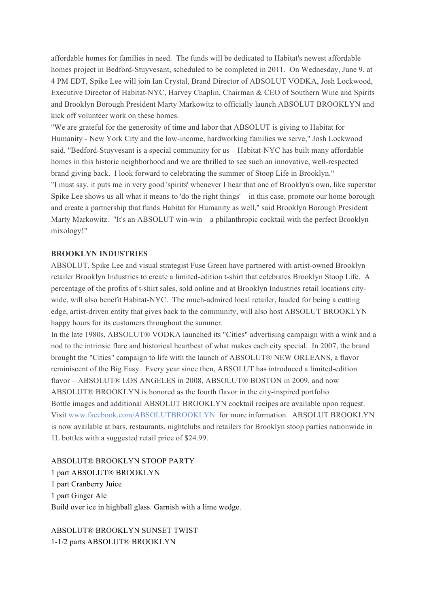affordable homes for families in need. The funds will be dedicated to Habitat's newest affordable homes project in Bedford-Stuyvesant, scheduled to be completed in 2011. On Wednesday, June 9, at 4 PM EDT, Spike Lee will join Ian Crystal, Brand Director of ABSOLUT VODKA, Josh Lockwood, Executive Director of Habitat-NYC, Harvey Chaplin, Chairman & CEO of Southern Wine and Spirits and Brooklyn Borough President Marty Markowitz to officially launch ABSOLUT BROOKLYN and kick off volunteer work on these homes.

"We are grateful for the generosity of time and labor that ABSOLUT is giving to Habitat for Humanity - New York City and the low-income, hardworking families we serve," Josh Lockwood said. "Bedford-Stuyvesant is a special community for us – Habitat-NYC has built many affordable homes in this historic neighborhood and we are thrilled to see such an innovative, well-respected brand giving back. I look forward to celebrating the summer of Stoop Life in Brooklyn." "I must say, it puts me in very good 'spirits' whenever I hear that one of Brooklyn's own, like superstar Spike Lee shows us all what it means to 'do the right things' – in this case, promote our home borough and create a partnership that funds Habitat for Humanity as well," said Brooklyn Borough President Marty Markowitz. "It's an ABSOLUT win-win – a philanthropic cocktail with the perfect Brooklyn mixology!"

#### **BROOKLYN INDUSTRIES**

ABSOLUT, Spike Lee and visual strategist Fuse Green have partnered with artist-owned Brooklyn retailer Brooklyn Industries to create a limited-edition t-shirt that celebrates Brooklyn Stoop Life. A percentage of the profits of t-shirt sales, sold online and at Brooklyn Industries retail locations citywide, will also benefit Habitat-NYC. The much-admired local retailer, lauded for being a cutting edge, artist-driven entity that gives back to the community, will also host ABSOLUT BROOKLYN happy hours for its customers throughout the summer.

In the late 1980s, ABSOLUT® VODKA launched its "Cities" advertising campaign with a wink and a nod to the intrinsic flare and historical heartbeat of what makes each city special. In 2007, the brand brought the "Cities" campaign to life with the launch of ABSOLUT® NEW ORLEANS, a flavor reminiscent of the Big Easy. Every year since then, ABSOLUT has introduced a limited-edition flavor – ABSOLUT® LOS ANGELES in 2008, ABSOLUT® BOSTON in 2009, and now ABSOLUT® BROOKLYN is honored as the fourth flavor in the city-inspired portfolio. Bottle images and additional ABSOLUT BROOKLYN cocktail recipes are available upon request. Visit www.facebook.com/ABSOLUTBROOKLYN for more information. ABSOLUT BROOKLYN is now available at bars, restaurants, nightclubs and retailers for Brooklyn stoop parties nationwide in 1L bottles with a suggested retail price of \$24.99.

ABSOLUT® BROOKLYN STOOP PARTY 1 part ABSOLUT® BROOKLYN 1 part Cranberry Juice 1 part Ginger Ale Build over ice in highball glass. Garnish with a lime wedge.

ABSOLUT® BROOKLYN SUNSET TWIST 1-1/2 parts ABSOLUT® BROOKLYN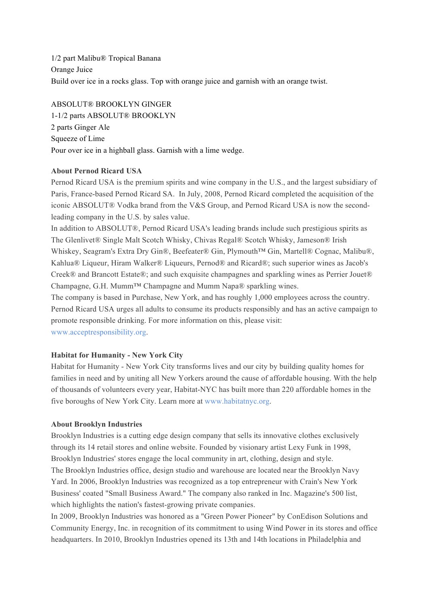1/2 part Malibu® Tropical Banana Orange Juice Build over ice in a rocks glass. Top with orange juice and garnish with an orange twist.

ABSOLUT® BROOKLYN GINGER 1-1/2 parts ABSOLUT® BROOKLYN 2 parts Ginger Ale Squeeze of Lime Pour over ice in a highball glass. Garnish with a lime wedge.

# **About Pernod Ricard USA**

Pernod Ricard USA is the premium spirits and wine company in the U.S., and the largest subsidiary of Paris, France-based Pernod Ricard SA. In July, 2008, Pernod Ricard completed the acquisition of the iconic ABSOLUT® Vodka brand from the V&S Group, and Pernod Ricard USA is now the secondleading company in the U.S. by sales value.

In addition to ABSOLUT®, Pernod Ricard USA's leading brands include such prestigious spirits as The Glenlivet® Single Malt Scotch Whisky, Chivas Regal® Scotch Whisky, Jameson® Irish Whiskey, Seagram's Extra Dry Gin®, Beefeater® Gin, Plymouth™ Gin, Martell® Cognac, Malibu®, Kahlua® Liqueur, Hiram Walker® Liqueurs, Pernod® and Ricard®; such superior wines as Jacob's Creek® and Brancott Estate®; and such exquisite champagnes and sparkling wines as Perrier Jouet® Champagne, G.H. Mumm™ Champagne and Mumm Napa® sparkling wines.

The company is based in Purchase, New York, and has roughly 1,000 employees across the country. Pernod Ricard USA urges all adults to consume its products responsibly and has an active campaign to promote responsible drinking. For more information on this, please visit: www.acceptresponsibility.org.

## **Habitat for Humanity - New York City**

Habitat for Humanity - New York City transforms lives and our city by building quality homes for families in need and by uniting all New Yorkers around the cause of affordable housing. With the help of thousands of volunteers every year, Habitat-NYC has built more than 220 affordable homes in the five boroughs of New York City. Learn more at www.habitatnyc.org.

#### **About Brooklyn Industries**

Brooklyn Industries is a cutting edge design company that sells its innovative clothes exclusively through its 14 retail stores and online website. Founded by visionary artist Lexy Funk in 1998, Brooklyn Industries' stores engage the local community in art, clothing, design and style. The Brooklyn Industries office, design studio and warehouse are located near the Brooklyn Navy Yard. In 2006, Brooklyn Industries was recognized as a top entrepreneur with Crain's New York Business' coated "Small Business Award." The company also ranked in Inc. Magazine's 500 list, which highlights the nation's fastest-growing private companies.

In 2009, Brooklyn Industries was honored as a "Green Power Pioneer" by ConEdison Solutions and Community Energy, Inc. in recognition of its commitment to using Wind Power in its stores and office headquarters. In 2010, Brooklyn Industries opened its 13th and 14th locations in Philadelphia and